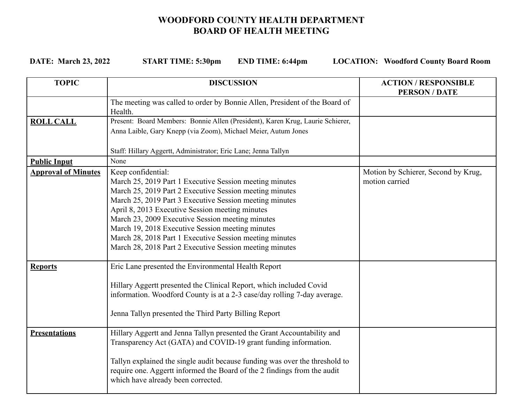## **WOODFORD COUNTY HEALTH DEPARTMENT BOARD OF HEALTH MEETING**

**DATE: March 23, 2022 START TIME: 5:30pm END TIME: 6:44pm LOCATION: Woodford County Board Room**

| <b>TOPIC</b>               | <b>DISCUSSION</b>                                                                                                                                | <b>ACTION/RESPONSIBLE</b><br><b>PERSON/DATE</b> |
|----------------------------|--------------------------------------------------------------------------------------------------------------------------------------------------|-------------------------------------------------|
|                            | The meeting was called to order by Bonnie Allen, President of the Board of<br>Health.                                                            |                                                 |
| <b>ROLL CALL</b>           | Present: Board Members: Bonnie Allen (President), Karen Krug, Laurie Schierer,<br>Anna Laible, Gary Knepp (via Zoom), Michael Meier, Autum Jones |                                                 |
|                            |                                                                                                                                                  |                                                 |
|                            | Staff: Hillary Aggertt, Administrator; Eric Lane; Jenna Tallyn                                                                                   |                                                 |
| <b>Public Input</b>        | None                                                                                                                                             |                                                 |
| <b>Approval of Minutes</b> | Keep confidential:                                                                                                                               | Motion by Schierer, Second by Krug,             |
|                            | March 25, 2019 Part 1 Executive Session meeting minutes                                                                                          | motion carried                                  |
|                            | March 25, 2019 Part 2 Executive Session meeting minutes                                                                                          |                                                 |
|                            | March 25, 2019 Part 3 Executive Session meeting minutes                                                                                          |                                                 |
|                            | April 8, 2013 Executive Session meeting minutes                                                                                                  |                                                 |
|                            | March 23, 2009 Executive Session meeting minutes                                                                                                 |                                                 |
|                            | March 19, 2018 Executive Session meeting minutes                                                                                                 |                                                 |
|                            | March 28, 2018 Part 1 Executive Session meeting minutes                                                                                          |                                                 |
|                            | March 28, 2018 Part 2 Executive Session meeting minutes                                                                                          |                                                 |
| <b>Reports</b>             | Eric Lane presented the Environmental Health Report                                                                                              |                                                 |
|                            | Hillary Aggertt presented the Clinical Report, which included Covid                                                                              |                                                 |
|                            | information. Woodford County is at a 2-3 case/day rolling 7-day average.                                                                         |                                                 |
|                            |                                                                                                                                                  |                                                 |
|                            | Jenna Tallyn presented the Third Party Billing Report                                                                                            |                                                 |
| <b>Presentations</b>       | Hillary Aggertt and Jenna Tallyn presented the Grant Accountability and                                                                          |                                                 |
|                            | Transparency Act (GATA) and COVID-19 grant funding information.                                                                                  |                                                 |
|                            |                                                                                                                                                  |                                                 |
|                            | Tallyn explained the single audit because funding was over the threshold to                                                                      |                                                 |
|                            | require one. Aggertt informed the Board of the 2 findings from the audit                                                                         |                                                 |
|                            | which have already been corrected.                                                                                                               |                                                 |
|                            |                                                                                                                                                  |                                                 |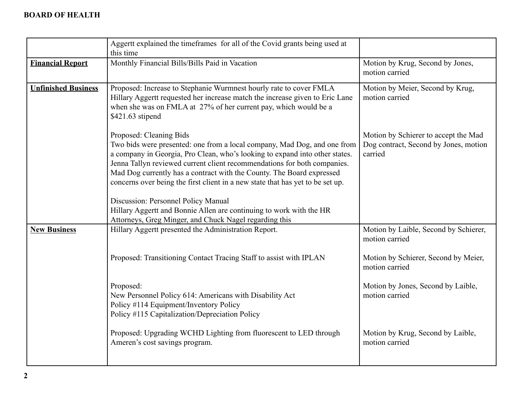|                            | Aggertt explained the timeframes for all of the Covid grants being used at<br>this time                                                                                                                                                                                                                                                                                                                                                                                                                                                 |                                                                                          |
|----------------------------|-----------------------------------------------------------------------------------------------------------------------------------------------------------------------------------------------------------------------------------------------------------------------------------------------------------------------------------------------------------------------------------------------------------------------------------------------------------------------------------------------------------------------------------------|------------------------------------------------------------------------------------------|
| <b>Financial Report</b>    | Monthly Financial Bills/Bills Paid in Vacation                                                                                                                                                                                                                                                                                                                                                                                                                                                                                          | Motion by Krug, Second by Jones,<br>motion carried                                       |
| <b>Unfinished Business</b> | Proposed: Increase to Stephanie Wurmnest hourly rate to cover FMLA<br>Hillary Aggertt requested her increase match the increase given to Eric Lane<br>when she was on FMLA at 27% of her current pay, which would be a<br>\$421.63 stipend                                                                                                                                                                                                                                                                                              | Motion by Meier, Second by Krug,<br>motion carried                                       |
|                            | Proposed: Cleaning Bids<br>Two bids were presented: one from a local company, Mad Dog, and one from<br>a company in Georgia, Pro Clean, who's looking to expand into other states.<br>Jenna Tallyn reviewed current client recommendations for both companies.<br>Mad Dog currently has a contract with the County. The Board expressed<br>concerns over being the first client in a new state that has yet to be set up.<br>Discussion: Personnel Policy Manual<br>Hillary Aggertt and Bonnie Allen are continuing to work with the HR | Motion by Schierer to accept the Mad<br>Dog contract, Second by Jones, motion<br>carried |
|                            | Attorneys, Greg Minger, and Chuck Nagel regarding this                                                                                                                                                                                                                                                                                                                                                                                                                                                                                  |                                                                                          |
| <b>New Business</b>        | Hillary Aggertt presented the Administration Report.                                                                                                                                                                                                                                                                                                                                                                                                                                                                                    | Motion by Laible, Second by Schierer,<br>motion carried                                  |
|                            | Proposed: Transitioning Contact Tracing Staff to assist with IPLAN                                                                                                                                                                                                                                                                                                                                                                                                                                                                      | Motion by Schierer, Second by Meier,<br>motion carried                                   |
|                            | Proposed:<br>New Personnel Policy 614: Americans with Disability Act<br>Policy #114 Equipment/Inventory Policy<br>Policy #115 Capitalization/Depreciation Policy                                                                                                                                                                                                                                                                                                                                                                        | Motion by Jones, Second by Laible,<br>motion carried                                     |
|                            | Proposed: Upgrading WCHD Lighting from fluorescent to LED through<br>Ameren's cost savings program.                                                                                                                                                                                                                                                                                                                                                                                                                                     | Motion by Krug, Second by Laible,<br>motion carried                                      |